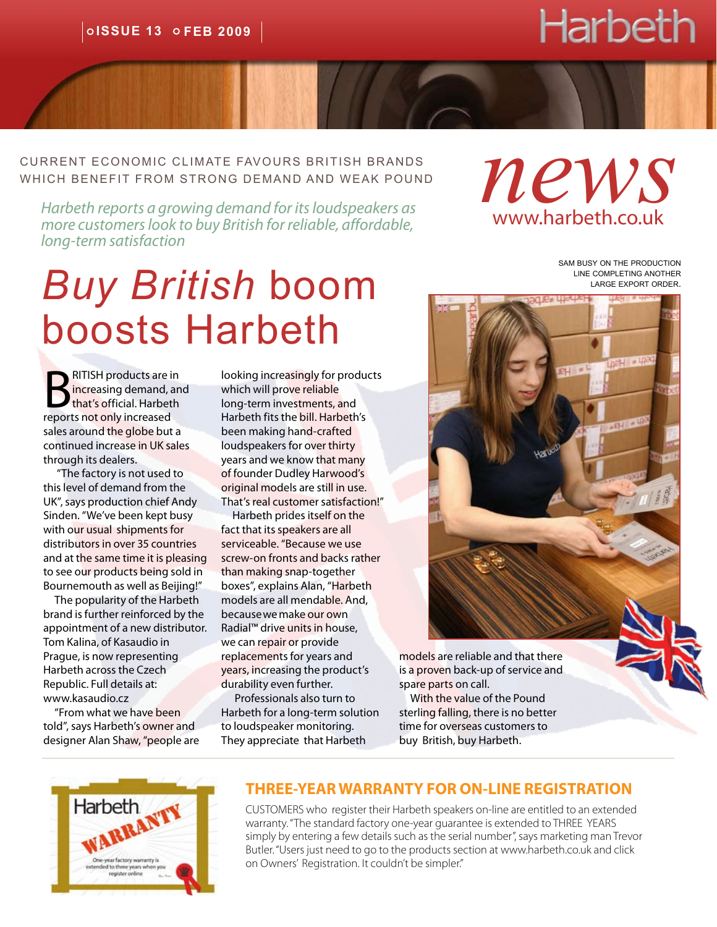# **Harbeth**

current economic climate favours british brands which benefit from strong demand and weak pound RRENT ECONOMIC CLIMATE FAVOURS BRITISH BRANDS<br>IICH BENEFIT FROM STRONG DEMAND AND WEAK POUND<br>Harbeth reports a growing demand for its loudspeakers as

*more customers look to buy British for reliable, affordable, long-term satisfaction*

# *Buy British* boom boosts Harbeth

**BRITISH products are in<br>B** increasing demand, an<br>that's official. Harbeth<br>reports not only increased increasing demand, and that's official. Harbeth reports not only increased sales around the globe but a continued increase in UK sales through its dealers.

 "The factory is not used to this level of demand from the UK", says production chief Andy Sinden. "We've been kept busy with our usual shipments for distributors in over 35 countries and at the same time it is pleasing to see our products being sold in Bournemouth as well as Beijing!"

 The popularity of the Harbeth brand is further reinforced by the appointment of a new distributor. Tom Kalina, of Kasaudio in Prague, is now representing Harbeth across the Czech Republic. Full details at: [www.kasaudio.cz](http://www.kasaudio.cz/)

 "From what we have been told", says Harbeth's owner and designer Alan Shaw, "people are looking increasingly for products which will prove reliable long-term investments, and Harbeth fits the bill. Harbeth's been making hand-crafted loudspeakers for over thirty years and we know that many of founder Dudley Harwood's original models are still in use. That's real customer satisfaction!"

 Harbeth prides itself on the fact that its speakers are all serviceable. "Because we use screw-on fronts and backs rather than making snap-together boxes", explains Alan, "Harbeth models are all mendable. And, because we make our own Radial™ drive units in house, we can repair or provide replacements for years and years, increasing the product's durability even further.

 Professionals also turn to Harbeth for a long-term solution to loudspeaker monitoring. They appreciate that Harbeth

www.harbeth.co.uk

sam busy on the production line completing another large export order.



models are reliable and that there is a proven back-up of service and spare parts on call.

 With the value of the Pound sterling falling, there is no better time for overseas customers to buy British, buy Harbeth.



#### **THREE-YEAR WARRANTY FOR ON-LINE REGISTRATION**

CUSTOMERS who register their Harbeth speakers on-line are entitled to an extended warranty. "The standard factory one-year guarantee is extended to THREE YEARS simply by entering a few details such as the serial number", says marketing man Trevor Butler. "Users just need to go t[o the products section at www.harbeth.co.uk](http://www.harbeth.co.uk/uk/index.php?section=products&page=ownersregistration) and click on Owners' Registration. It couldn't be simpler."